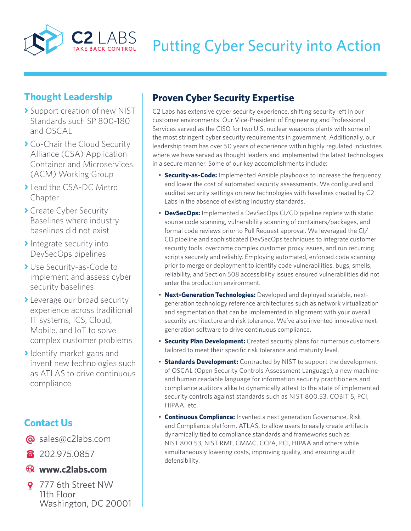

# **Thought Leadership**

- **›** Support creation of new NIST Standards such SP 800-180 and OSCAL
- **›** Co-Chair the Cloud Security Alliance (CSA) Application Container and Microservices (ACM) Working Group
- **›** Lead the CSA-DC Metro Chapter
- **›** Create Cyber Security Baselines where industry baselines did not exist
- **›**Integrate security into DevSecOps pipelines
- **›** Use Security-as-Code to implement and assess cyber security baselines
- **›** Leverage our broad security experience across traditional IT systems, ICS, Cloud, Mobile, and IoT to solve complex customer problems
- **›**Identify market gaps and invent new technologies such as ATLAS to drive continuous compliance

# **Contact Us**

- @ sales@c2labs.com
- 8 202.975.0857

### **www.c2labs.com**

9 777 6th Street NW 11th Floor Washington, DC 20001

# **Proven Cyber Security Expertise**

C2 Labs has extensive cyber security experience, shifting security left in our customer environments. Our Vice-President of Engineering and Professional Services served as the CISO for two U.S. nuclear weapons plants with some of the most stringent cyber security requirements in government. Additionally, our leadership team has over 50 years of experience within highly regulated industries where we have served as thought leaders and implemented the latest technologies in a secure manner. Some of our key accomplishments include:

- **Security-as-Code:** Implemented Ansible playbooks to increase the frequency and lower the cost of automated security assessments. We configured and audited security settings on new technologies with baselines created by C2 Labs in the absence of existing industry standards.
- **DevSecOps:** Implemented a DevSecOps CI/CD pipeline replete with static source code scanning, vulnerability scanning of containers/packages, and formal code reviews prior to Pull Request approval. We leveraged the CI/ CD pipeline and sophisticated DevSecOps techniques to integrate customer security tools, overcome complex customer proxy issues, and run recurring scripts securely and reliably. Employing automated, enforced code scanning prior to merge or deployment to identify code vulnerabilities, bugs, smells, reliability, and Section 508 accessibility issues ensured vulnerabilities did not enter the production environment.
- **Next-Generation Technologies:** Developed and deployed scalable, nextgeneration technology reference architectures such as network virtualization and segmentation that can be implemented in alignment with your overall security architecture and risk tolerance. We've also invented innovative nextgeneration software to drive continuous compliance.
- **Security Plan Development:** Created security plans for numerous customers tailored to meet their specific risk tolerance and maturity level.
- **Standards Development:** Contracted by NIST to support the development of OSCAL (Open Security Controls Assessment Language), a new machineand human readable language for information security practitioners and compliance auditors alike to dynamically attest to the state of implemented security controls against standards such as NIST 800.53, COBIT 5, PCI, HIPAA, etc.
- **Continuous Compliance:** Invented a next generation Governance, Risk and Compliance platform, ATLAS, to allow users to easily create artifacts dynamically tied to compliance standards and frameworks such as NIST 800.53, NIST RMF, CMMC, CCPA, PCI, HIPAA and others while simultaneously lowering costs, improving quality, and ensuring audit defensibility.